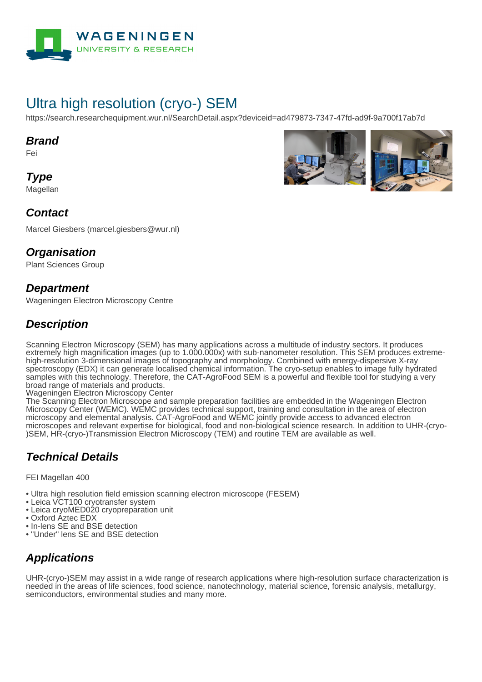

# Ultra high resolution (cryo-) SEM

https://search.researchequipment.wur.nl/SearchDetail.aspx?deviceid=ad479873-7347-47fd-ad9f-9a700f17ab7d

#### **Brand**

Fei

**Type Magellan** 



Marcel Giesbers (marcel.giesbers@wur.nl)

#### **Organisation**

Plant Sciences Group

#### **Department**

Wageningen Electron Microscopy Centre

#### **Description**

Scanning Electron Microscopy (SEM) has many applications across a multitude of industry sectors. It produces extremely high magnification images (up to 1.000.000x) with sub-nanometer resolution. This SEM produces extremehigh-resolution 3-dimensional images of topography and morphology. Combined with energy-dispersive X-ray spectroscopy (EDX) it can generate localised chemical information. The cryo-setup enables to image fully hydrated samples with this technology. Therefore, the CAT-AgroFood SEM is a powerful and flexible tool for studying a very broad range of materials and products.

Wageningen Electron Microscopy Center

The Scanning Electron Microscope and sample preparation facilities are embedded in the Wageningen Electron Microscopy Center (WEMC). WEMC provides technical support, training and consultation in the area of electron microscopy and elemental analysis. CAT-AgroFood and WEMC jointly provide access to advanced electron microscopes and relevant expertise for biological, food and non-biological science research. In addition to UHR-(cryo- )SEM, HR-(cryo-)Transmission Electron Microscopy (TEM) and routine TEM are available as well.

#### **Technical Details**

FEI Magellan 400

• Ultra high resolution field emission scanning electron microscope (FESEM)

- Leica VCT100 cryotransfer system
- Leica cryoMED020 cryopreparation unit
- Oxford Aztec EDX
- In-lens SE and BSE detection
- "Under" lens SE and BSE detection

### **Applications**

UHR-(cryo-)SEM may assist in a wide range of research applications where high-resolution surface characterization is needed in the areas of life sciences, food science, nanotechnology, material science, forensic analysis, metallurgy, semiconductors, environmental studies and many more.